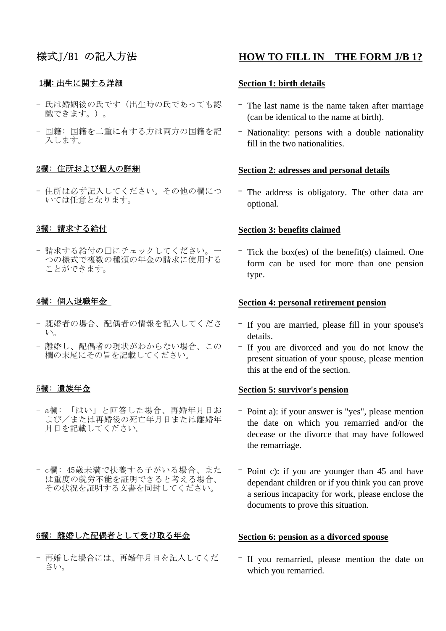### 1欄: 出生に関する詳細

- 氏は婚姻後の氏です(出生時の氏であっても認 識できます。)。
- 国籍: 国籍を二重に有する方は両方の国籍を記 入します。

- 住所は必ず記入してください。その他の欄につ いては任意となります。

- 請求する給付の□にチェックしてください。一 つの様式で複数の種類の年金の請求に使用する ことができます。

### 4欄: 個人退職年金

- 既婚者の場合、配偶者の情報を記入してくださ い。
- 離婚し、配偶者の現状がわからない場合、この 欄の末尾にその旨を記載してください。

### 5欄: 遺族年金

- a欄: 「はい」と回答した場合、再婚年月日お よび/または再婚後の死亡年月日または離婚年 月日を記載してください。
- c欄: 45歳未満で扶養する子がいる場合、また は重度の就労不能を証明できると考える場合、 その状況を証明する文書を同封してください。

### 6欄: 離婚した配偶者として受け取る年金

- 再婚した場合には、再婚年月日を記入してくだ さい。

# 様式J/B1 の記入方法 **HOW TO FILL IN THE FORM J/B 1?**

### **Section 1: birth details**

- The last name is the name taken after marriage (can be identical to the name at birth).
- Nationality: persons with a double nationality fill in the two nationalities.

# 2欄: 住所および個人の詳細 **Section 2: adresses and personal details**

- The address is obligatory. The other data are optional.

## 3欄: 請求する給付 **Section 3: benefits claimed**

- Tick the box(es) of the benefit(s) claimed. One form can be used for more than one pension type.

### **Section 4: personal retirement pension**

- If you are married, please fill in your spouse's details.
- If you are divorced and you do not know the present situation of your spouse, please mention this at the end of the section.

### **Section 5: survivor's pension**

- Point a): if your answer is "yes", please mention the date on which you remarried and/or the decease or the divorce that may have followed the remarriage.
- Point c): if you are younger than 45 and have dependant children or if you think you can prove a serious incapacity for work, please enclose the documents to prove this situation.

### **Section 6: pension as a divorced spouse**

- If you remarried, please mention the date on which you remarried.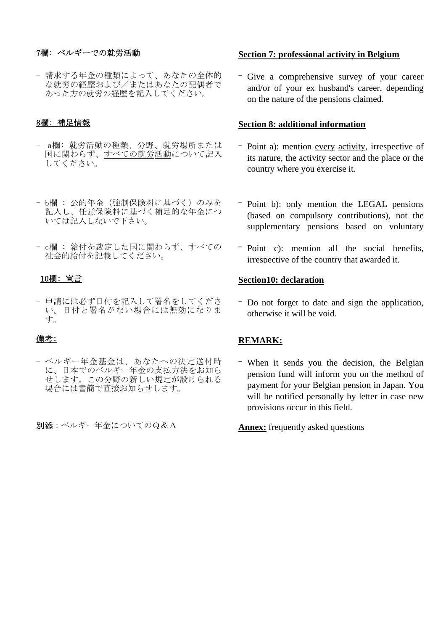- 請求する年金の種類によって、あなたの全体的 な就労の経歴および/またはあなたの配偶者で あった方の就労の経歴を記入してください。

- a欄: 就労活動の種類、分野、就労場所または 国に関わらず、すべての就労活動について記入 してください。
- b欄 : 公的年金(強制保険料に基づく)のみを 記入し、任意保険料に基づく補足的な年金につ いては記入しないで下さい。
- c欄 : 給付を裁定した国に関わらず、すべての 社会的給付を記載してください。

- 申請には必ず日付を記入して署名をしてくださ い。日付と署名がない場合には無効になりま す。

### 備考:

- ベルギー年金基金は、あなたへの決定送付時 に、日本でのベルギー年金の支払方法をお知ら せします。この分野の新しい規定が設けられる 場合には書簡で直接お知らせします。

別添:ベルギー年金についてのQ&A

# 7欄: ベルギーでの就労活動 **Section 7: professional activity in Belgium**

- Give a comprehensive survey of your career and/or of your ex husband's career, depending on the nature of the pensions claimed.

# 8欄: 補足情報 **Section 8: additional information**

- Point a): mention every activity, irrespective of its nature, the activity sector and the place or the country where you exercise it.
- Point b): only mention the LEGAL pensions (based on compulsory contributions), not the supplementary pensions based on voluntary
- Point c): mention all the social benefits, irrespective of the country that awarded it.

# 10欄: 宣言 **Section10: declaration**

- Do not forget to date and sign the application, otherwise it will be void.

### **REMARK:**

- When it sends you the decision, the Belgian pension fund will inform you on the method of payment for your Belgian pension in Japan. You will be notified personally by letter in case new provisions occur in this field.

**Annex:** frequently asked questions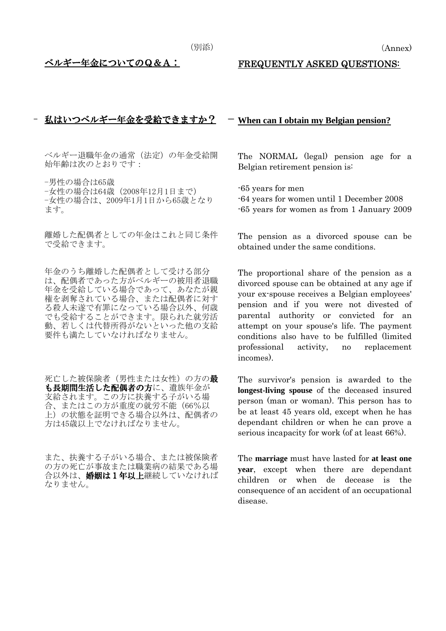## <u>ベルギー年金についてのQ&A:</u> FREQUENTLY ASKED QUESTIONS:

### - 私はいつベルギー年金を受給できますか? - **When can I obtain my Belgian pension?**

ベルギー退職年金の通常(法定)の年金受給開 始年齢は次のとおりです:

-男性の場合は65歳 -女性の場合は64歳(2008年12月1日まで) -女性の場合は、2009年1月1日から65歳となり ます。

離婚した配偶者としての年金はこれと同じ条件 離婚した配偶者としての年金はこれと同じ条件 - The pension as a divorced spouse can be<br>で受給できます。 - - - - - - - - - - - - - - - - obtained under the same conditions

年金のうち離婚した配偶者として受ける部分 は、配偶者であった方がベルギーの被用者退職 年金を受給している場合であって、あなたが親 権を剥奪されている場合、または配偶者に対す る殺人未遂で有罪になっている場合以外、何歳 でも受給することができます。限られた就労活 動、若しくは代替所得がないといった他の支給 要件も満たしていなければなりません。

死亡した被保険者(男性または女性)の方の**最** も長期間生活した配偶者の方に、遺族年金が 支給されます。この方に扶養する子がいる場 合、またはこの方が重度の就労不能(66%以 上)の状態を証明できる場合以外は、配偶者の 方は45歳以上でなければなりません。

また、扶養する子がいる場合、または被保険者 の方の死亡が事故または職業病の結果である場 合以外は、婚姻は1年以上継続していなければ なりません。

The NORMAL (legal) pension age for a Belgian retirement pension is:

-65 years for men

- -64 years for women until 1 December 2008
- -65 years for women as from 1 January 2009

obtained under the same conditions.

The proportional share of the pension as a divorced spouse can be obtained at any age if your ex-spouse receives a Belgian employees' pension and if you were not divested of parental authority or convicted for an attempt on your spouse's life. The payment conditions also have to be fulfilled (limited professional activity, no replacement incomes).

The survivor's pension is awarded to the **longest-living spouse** of the deceased insured person (man or woman). This person has to be at least 45 years old, except when he has dependant children or when he can prove a serious incapacity for work (of at least 66%).

The **marriage** must have lasted for **at least one year**, except when there are dependant children or when de decease is the consequence of an accident of an occupational disease.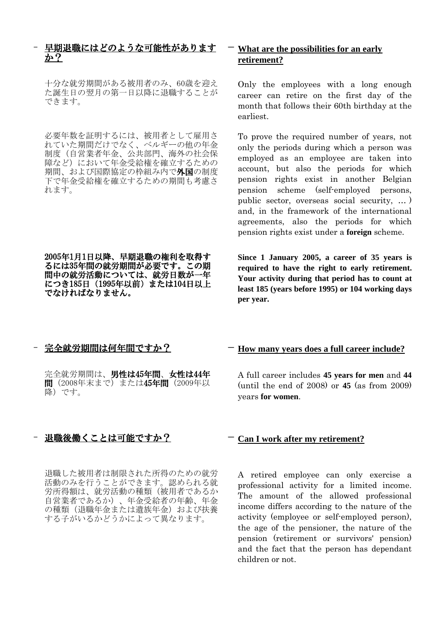## 早期退職にはどのような可能性があります か?

十分な就労期間がある被用者のみ、60歳を迎え た誕生日の翌月の第一日以降に退職することが できます。

必要年数を証明するには、被用者として雇用さ れていた期間だけでなく、ベルギーの他の年金 制度(自営業者年金、公共部門、海外の社会保 障など)において年金受給権を確立するための 期間、および国際協定の枠組み内で外国の制度 下で年金受給権を確立するための期間も考慮さ れます。

2005年1月1日以降、早期退職の権利を取得す るには35年間の就労期間が必要です。この期 間中の就労活動については、就労日数が一年 につき185日(1995年以前)または104日以上 でなければなりません。

# - **What are the possibilities for an early retirement?**

Only the employees with a long enough career can retire on the first day of the month that follows their 60th birthday at the earliest.

To prove the required number of years, not only the periods during which a person was employed as an employee are taken into account, but also the periods for which pension rights exist in another Belgian pension scheme (self-employed persons, public sector, overseas social security, … ) and, in the framework of the international agreements, also the periods for which pension rights exist under a **foreign** scheme.

**Since 1 January 2005, a career of 35 years is required to have the right to early retirement. Your activity during that period has to count at least 185 (years before 1995) or 104 working days per year.**

完全就労期間は、男性は45年間、女性は44年 間(2008年末まで)または45年間(2009年以 降)です。

## - 退職後働くことは可能ですか? - **Can I work after my retirement?**

退職した被用者は制限された所得のための就労 活動のみを行うことができます。認められる就 労所得額は、就労活動の種類(被用者であるか 自営業者であるか)、年金受給者の年齢、年金 の種類(退職年金または遺族年金)および扶養 する子がいるかどうかによって異なります。

# - 完全就労期間は何年間ですか? - **How many years does a full career include?**

A full career includes **45 years for men** and **44** (until the end of 2008) or **45** (as from 2009) years **for women**.

A retired employee can only exercise a professional activity for a limited income. The amount of the allowed professional income differs according to the nature of the activity (employee or self-employed person), the age of the pensioner, the nature of the pension (retirement or survivors' pension) and the fact that the person has dependant children or not.